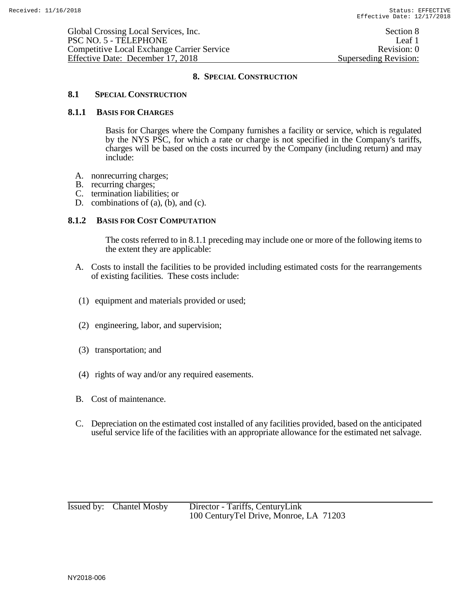## **8.1 SPECIAL CONSTRUCTION**

#### **8.1.1 BASIS FOR CHARGES**

Basis for Charges where the Company furnishes a facility or service, which is regulated by the NYS PSC, for which a rate or charge is not specified in the Company's tariffs, charges will be based on the costs incurred by the Company (including return) and may include:

- A. nonrecurring charges;
- B. recurring charges;
- C. termination liabilities; or
- D. combinations of (a), (b), and (c).

### **8.1.2 BASIS FOR COST COMPUTATION**

The costs referred to in 8.1.1 preceding may include one or more of the following items to the extent they are applicable:

- A. Costs to install the facilities to be provided including estimated costs for the rearrangements of existing facilities. These costs include:
- (1) equipment and materials provided or used;
- (2) engineering, labor, and supervision;
- (3) transportation; and
- (4) rights of way and/or any required easements.
- B. Cost of maintenance.
- C. Depreciation on the estimated cost installed of any facilities provided, based on the anticipated useful service life of the facilities with an appropriate allowance for the estimated net salvage.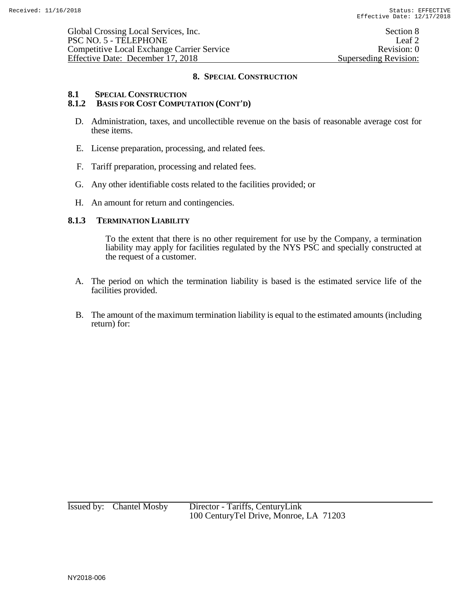#### 8.1 **SPECIAL CONSTRUCTION**<br>8.1.2 **BASIS FOR COST COMPU 8.1.2 BASIS FOR COST COMPUTATION (CONT'D)**

- D. Administration, taxes, and uncollectible revenue on the basis of reasonable average cost for these items.
- E. License preparation, processing, and related fees.
- F. Tariff preparation, processing and related fees.
- G. Any other identifiable costs related to the facilities provided; or
- H. An amount for return and contingencies.

### **8.1.3 TERMINATION LIABILITY**

To the extent that there is no other requirement for use by the Company, a termination liability may apply for facilities regulated by the NYS PSC and specially constructed at the request of a customer.

- A. The period on which the termination liability is based is the estimated service life of the facilities provided.
- B. The amount of the maximum termination liability is equal to the estimated amounts (including return) for: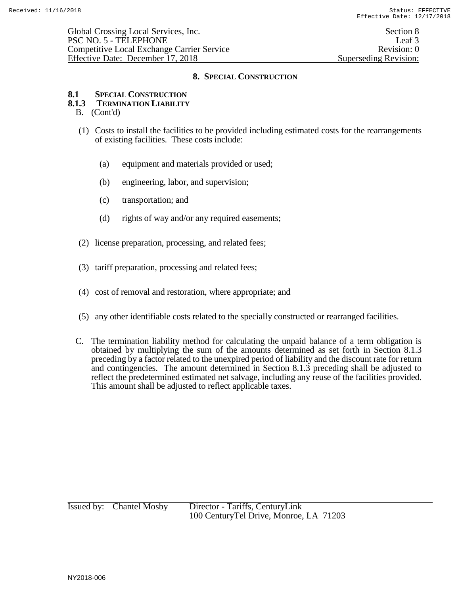## **8.1 SPECIAL CONSTRUCTION**

# **8.1.3 TERMINATION LIABILITY**

- B. (Cont'd)
- (1) Costs to install the facilities to be provided including estimated costs for the rearrangements of existing facilities. These costs include:
	- (a) equipment and materials provided or used;
	- (b) engineering, labor, and supervision;
	- (c) transportation; and
	- (d) rights of way and/or any required easements;
- (2) license preparation, processing, and related fees;
- (3) tariff preparation, processing and related fees;
- (4) cost of removal and restoration, where appropriate; and
- (5) any other identifiable costs related to the specially constructed or rearranged facilities.
- C. The termination liability method for calculating the unpaid balance of a term obligation is obtained by multiplying the sum of the amounts determined as set forth in Section 8.1.3 preceding by a factor related to the unexpired period of liability and the discount rate for return and contingencies. The amount determined in Section 8.1.3 preceding shall be adjusted to reflect the predetermined estimated net salvage, including any reuse of the facilities provided. This amount shall be adjusted to reflect applicable taxes.